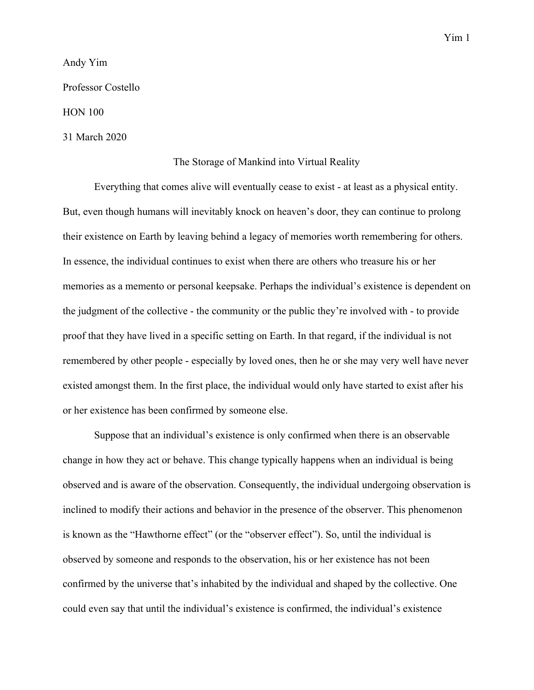Andy Yim

Professor Costello

HON 100

31 March 2020

## The Storage of Mankind into Virtual Reality

Everything that comes alive will eventually cease to exist - at least as a physical entity. But, even though humans will inevitably knock on heaven's door, they can continue to prolong their existence on Earth by leaving behind a legacy of memories worth remembering for others. In essence, the individual continues to exist when there are others who treasure his or her memories as a memento or personal keepsake. Perhaps the individual's existence is dependent on the judgment of the collective - the community or the public they're involved with - to provide proof that they have lived in a specific setting on Earth. In that regard, if the individual is not remembered by other people - especially by loved ones, then he or she may very well have never existed amongst them. In the first place, the individual would only have started to exist after his or her existence has been confirmed by someone else.

Suppose that an individual's existence is only confirmed when there is an observable change in how they act or behave. This change typically happens when an individual is being observed and is aware of the observation. Consequently, the individual undergoing observation is inclined to modify their actions and behavior in the presence of the observer. This phenomenon is known as the "Hawthorne effect" (or the "observer effect"). So, until the individual is observed by someone and responds to the observation, his or her existence has not been confirmed by the universe that's inhabited by the individual and shaped by the collective. One could even say that until the individual's existence is confirmed, the individual's existence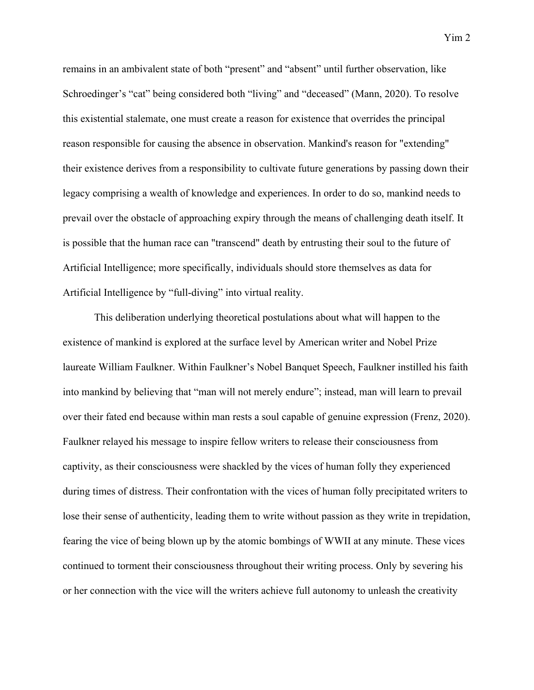remains in an ambivalent state of both "present" and "absent" until further observation, like Schroedinger's "cat" being considered both "living" and "deceased" (Mann, 2020). To resolve this existential stalemate, one must create a reason for existence that overrides the principal reason responsible for causing the absence in observation. Mankind's reason for "extending" their existence derives from a responsibility to cultivate future generations by passing down their legacy comprising a wealth of knowledge and experiences. In order to do so, mankind needs to prevail over the obstacle of approaching expiry through the means of challenging death itself. It is possible that the human race can "transcend" death by entrusting their soul to the future of Artificial Intelligence; more specifically, individuals should store themselves as data for

Artificial Intelligence by "full-diving" into virtual reality.

This deliberation underlying theoretical postulations about what will happen to the existence of mankind is explored at the surface level by American writer and Nobel Prize laureate William Faulkner. Within Faulkner's Nobel Banquet Speech, Faulkner instilled his faith into mankind by believing that "man will not merely endure"; instead, man will learn to prevail over their fated end because within man rests a soul capable of genuine expression (Frenz, 2020). Faulkner relayed his message to inspire fellow writers to release their consciousness from captivity, as their consciousness were shackled by the vices of human folly they experienced during times of distress. Their confrontation with the vices of human folly precipitated writers to lose their sense of authenticity, leading them to write without passion as they write in trepidation, fearing the vice of being blown up by the atomic bombings of WWII at any minute. These vices continued to torment their consciousness throughout their writing process. Only by severing his or her connection with the vice will the writers achieve full autonomy to unleash the creativity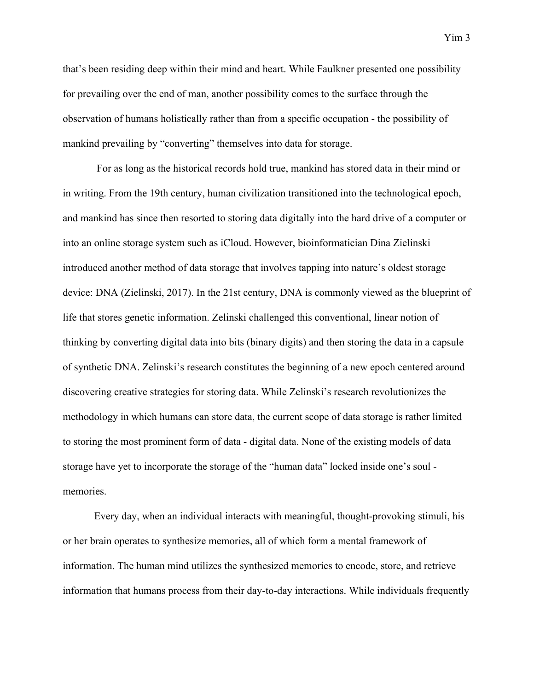that's been residing deep within their mind and heart. While Faulkner presented one possibility for prevailing over the end of man, another possibility comes to the surface through the observation of humans holistically rather than from a specific occupation - the possibility of mankind prevailing by "converting" themselves into data for storage.

 For as long as the historical records hold true, mankind has stored data in their mind or in writing. From the 19th century, human civilization transitioned into the technological epoch, and mankind has since then resorted to storing data digitally into the hard drive of a computer or into an online storage system such as iCloud. However, bioinformatician Dina Zielinski introduced another method of data storage that involves tapping into nature's oldest storage device: DNA (Zielinski, 2017). In the 21st century, DNA is commonly viewed as the blueprint of life that stores genetic information. Zelinski challenged this conventional, linear notion of thinking by converting digital data into bits (binary digits) and then storing the data in a capsule of synthetic DNA. Zelinski's research constitutes the beginning of a new epoch centered around discovering creative strategies for storing data. While Zelinski's research revolutionizes the methodology in which humans can store data, the current scope of data storage is rather limited to storing the most prominent form of data - digital data. None of the existing models of data storage have yet to incorporate the storage of the "human data" locked inside one's soul memories.

Every day, when an individual interacts with meaningful, thought-provoking stimuli, his or her brain operates to synthesize memories, all of which form a mental framework of information. The human mind utilizes the synthesized memories to encode, store, and retrieve information that humans process from their day-to-day interactions. While individuals frequently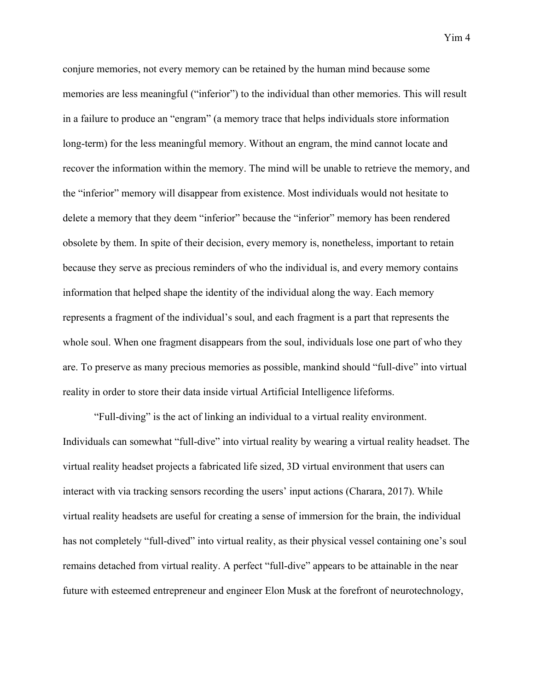conjure memories, not every memory can be retained by the human mind because some memories are less meaningful ("inferior") to the individual than other memories. This will result in a failure to produce an "engram" (a memory trace that helps individuals store information long-term) for the less meaningful memory. Without an engram, the mind cannot locate and recover the information within the memory. The mind will be unable to retrieve the memory, and the "inferior" memory will disappear from existence. Most individuals would not hesitate to delete a memory that they deem "inferior" because the "inferior" memory has been rendered obsolete by them. In spite of their decision, every memory is, nonetheless, important to retain because they serve as precious reminders of who the individual is, and every memory contains information that helped shape the identity of the individual along the way. Each memory represents a fragment of the individual's soul, and each fragment is a part that represents the whole soul. When one fragment disappears from the soul, individuals lose one part of who they are. To preserve as many precious memories as possible, mankind should "full-dive" into virtual reality in order to store their data inside virtual Artificial Intelligence lifeforms.

"Full-diving" is the act of linking an individual to a virtual reality environment. Individuals can somewhat "full-dive" into virtual reality by wearing a virtual reality headset. The virtual reality headset projects a fabricated life sized, 3D virtual environment that users can interact with via tracking sensors recording the users' input actions (Charara, 2017). While virtual reality headsets are useful for creating a sense of immersion for the brain, the individual has not completely "full-dived" into virtual reality, as their physical vessel containing one's soul remains detached from virtual reality. A perfect "full-dive" appears to be attainable in the near future with esteemed entrepreneur and engineer Elon Musk at the forefront of neurotechnology,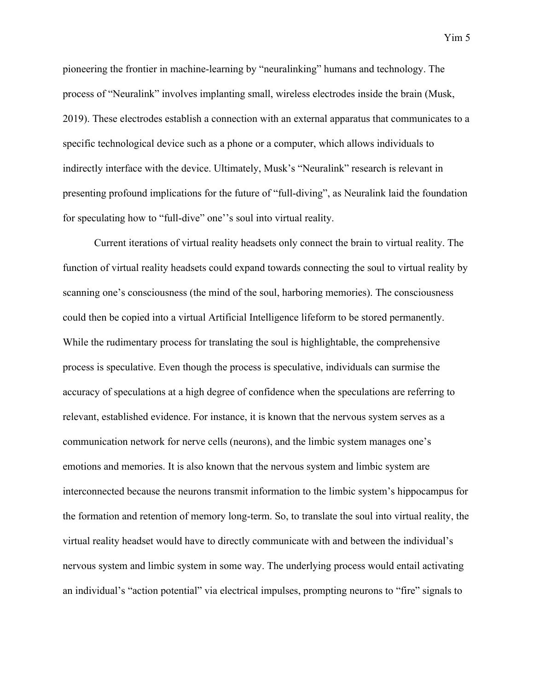pioneering the frontier in machine-learning by "neuralinking" humans and technology. The process of "Neuralink" involves implanting small, wireless electrodes inside the brain (Musk, 2019). These electrodes establish a connection with an external apparatus that communicates to a specific technological device such as a phone or a computer, which allows individuals to indirectly interface with the device. Ultimately, Musk's "Neuralink" research is relevant in presenting profound implications for the future of "full-diving", as Neuralink laid the foundation for speculating how to "full-dive" one''s soul into virtual reality.

Current iterations of virtual reality headsets only connect the brain to virtual reality. The function of virtual reality headsets could expand towards connecting the soul to virtual reality by scanning one's consciousness (the mind of the soul, harboring memories). The consciousness could then be copied into a virtual Artificial Intelligence lifeform to be stored permanently. While the rudimentary process for translating the soul is highlightable, the comprehensive process is speculative. Even though the process is speculative, individuals can surmise the accuracy of speculations at a high degree of confidence when the speculations are referring to relevant, established evidence. For instance, it is known that the nervous system serves as a communication network for nerve cells (neurons), and the limbic system manages one's emotions and memories. It is also known that the nervous system and limbic system are interconnected because the neurons transmit information to the limbic system's hippocampus for the formation and retention of memory long-term. So, to translate the soul into virtual reality, the virtual reality headset would have to directly communicate with and between the individual's nervous system and limbic system in some way. The underlying process would entail activating an individual's "action potential" via electrical impulses, prompting neurons to "fire" signals to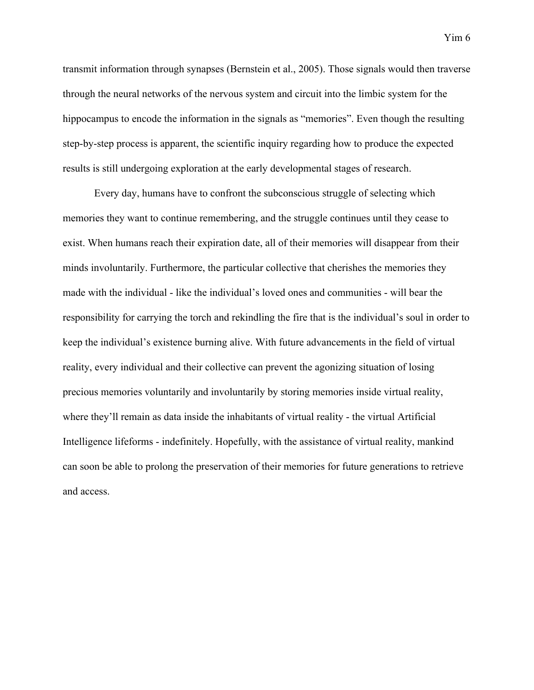transmit information through synapses (Bernstein et al., 2005). Those signals would then traverse through the neural networks of the nervous system and circuit into the limbic system for the hippocampus to encode the information in the signals as "memories". Even though the resulting step-by-step process is apparent, the scientific inquiry regarding how to produce the expected results is still undergoing exploration at the early developmental stages of research.

Every day, humans have to confront the subconscious struggle of selecting which memories they want to continue remembering, and the struggle continues until they cease to exist. When humans reach their expiration date, all of their memories will disappear from their minds involuntarily. Furthermore, the particular collective that cherishes the memories they made with the individual - like the individual's loved ones and communities - will bear the responsibility for carrying the torch and rekindling the fire that is the individual's soul in order to keep the individual's existence burning alive. With future advancements in the field of virtual reality, every individual and their collective can prevent the agonizing situation of losing precious memories voluntarily and involuntarily by storing memories inside virtual reality, where they'll remain as data inside the inhabitants of virtual reality - the virtual Artificial Intelligence lifeforms - indefinitely. Hopefully, with the assistance of virtual reality, mankind can soon be able to prolong the preservation of their memories for future generations to retrieve and access.